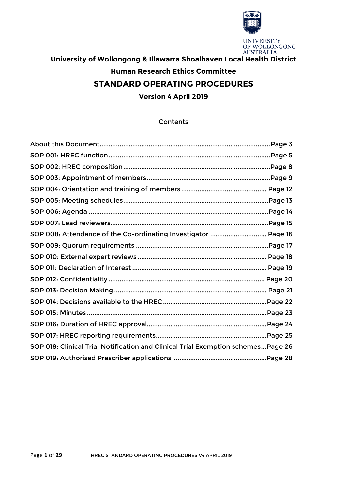

# **University of Wollongong & Illawarra Shoalhaven Local Health District Human Research Ethics Committee STANDARD OPERATING PROCEDURES**

**Version 4 April 2019**

## **Contents**

| SOP 008: Attendance of the Co-ordinating Investigator  Page 16                    |  |
|-----------------------------------------------------------------------------------|--|
|                                                                                   |  |
|                                                                                   |  |
|                                                                                   |  |
|                                                                                   |  |
|                                                                                   |  |
|                                                                                   |  |
|                                                                                   |  |
|                                                                                   |  |
|                                                                                   |  |
| SOP 018: Clinical Trial Notification and Clinical Trial Exemption schemes Page 26 |  |
|                                                                                   |  |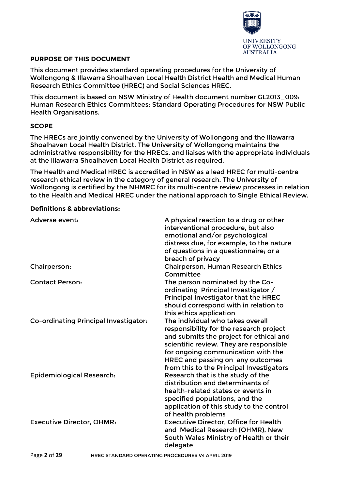

## **PURPOSE OF THIS DOCUMENT**

This document provides standard operating procedures for the University of Wollongong & Illawarra Shoalhaven Local Health District Health and Medical Human Research Ethics Committee (HREC) and Social Sciences HREC.

This document is based on NSW Ministry of Health document number GL2013\_009: Human Research Ethics Committees: Standard Operating Procedures for NSW Public Health Organisations.

## **SCOPE**

The HRECs are jointly convened by the University of Wollongong and the Illawarra Shoalhaven Local Health District. The University of Wollongong maintains the administrative responsibility for the HRECs, and liaises with the appropriate individuals at the Illawarra Shoalhaven Local Health District as required.

The Health and Medical HREC is accredited in NSW as a lead HREC for multi-centre research ethical review in the category of general research. The University of Wollongong is certified by the NHMRC for its multi-centre review processes in relation to the Health and Medical HREC under the national approach to Single Ethical Review.

## **Definitions & abbreviations:**

| Adverse event:                        | A physical reaction to a drug or other<br>interventional procedure, but also<br>emotional and/or psychological<br>distress due, for example, to the nature<br>of questions in a questionnaire; or a<br>breach of privacy                                                                |
|---------------------------------------|-----------------------------------------------------------------------------------------------------------------------------------------------------------------------------------------------------------------------------------------------------------------------------------------|
| Chairperson:                          | <b>Chairperson, Human Research Ethics</b><br>Committee                                                                                                                                                                                                                                  |
| <b>Contact Person:</b>                | The person nominated by the Co-<br>ordinating Principal Investigator /<br>Principal Investigator that the HREC<br>should correspond with in relation to<br>this ethics application                                                                                                      |
| Co-ordinating Principal Investigator: | The individual who takes overall<br>responsibility for the research project<br>and submits the project for ethical and<br>scientific review. They are responsible<br>for ongoing communication with the<br>HREC and passing on any outcomes<br>from this to the Principal Investigators |
| <b>Epidemiological Research:</b>      | Research that is the study of the<br>distribution and determinants of<br>health-related states or events in<br>specified populations, and the<br>application of this study to the control<br>of health problems                                                                         |
| <b>Executive Director, OHMR:</b>      | <b>Executive Director, Office for Health</b><br>and Medical Research (OHMR), New<br>South Wales Ministry of Health or their<br>delegate                                                                                                                                                 |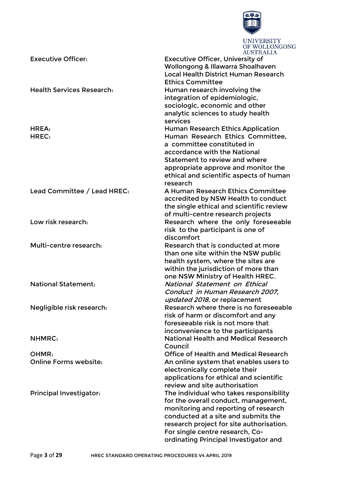

UNIVERSITY<br>OF WOLLONGONG

|                                  | AUSTRALIA                                    |
|----------------------------------|----------------------------------------------|
| <b>Executive Officer:</b>        | <b>Executive Officer, University of</b>      |
|                                  | Wollongong & Illawarra Shoalhaven            |
|                                  | <b>Local Health District Human Research</b>  |
|                                  | <b>Ethics Committee</b>                      |
| <b>Health Services Research:</b> | Human research involving the                 |
|                                  | integration of epidemiologic,                |
|                                  | sociologic, economic and other               |
|                                  | analytic sciences to study health            |
|                                  | services                                     |
| HREA:                            | <b>Human Research Ethics Application</b>     |
| HREC:                            | Human Research Ethics Committee,             |
|                                  | a committee constituted in                   |
|                                  | accordance with the National                 |
|                                  | Statement to review and where                |
|                                  | appropriate approve and monitor the          |
|                                  | ethical and scientific aspects of human      |
|                                  | research                                     |
| Lead Committee / Lead HREC:      | A Human Research Ethics Committee            |
|                                  | accredited by NSW Health to conduct          |
|                                  | the single ethical and scientific review     |
|                                  | of multi-centre research projects            |
| Low risk research:               | Research where the only foreseeable          |
|                                  | risk to the participant is one of            |
|                                  | discomfort                                   |
| Multi-centre research:           | Research that is conducted at more           |
|                                  | than one site within the NSW public          |
|                                  | health system, where the sites are           |
|                                  | within the jurisdiction of more than         |
|                                  | one NSW Ministry of Health HREC.             |
| <b>National Statement:</b>       | National Statement on Ethical                |
|                                  | Conduct in Human Research 2007.              |
|                                  | updated 2018, or replacement                 |
| Negligible risk research:        | Research where there is no foreseeable       |
|                                  | risk of harm or discomfort and any           |
|                                  | foreseeable risk is not more that            |
|                                  | inconvenience to the participants            |
| <b>NHMRC:</b>                    | <b>National Health and Medical Research</b>  |
|                                  | Council                                      |
| OHMR:                            | <b>Office of Health and Medical Research</b> |
| <b>Online Forms website:</b>     | An online system that enables users to       |
|                                  | electronically complete their                |
|                                  | applications for ethical and scientific      |
|                                  | review and site authorisation                |
| <b>Principal Investigator:</b>   | The individual who takes responsibility      |
|                                  | for the overall conduct, management,         |
|                                  | monitoring and reporting of research         |
|                                  | conducted at a site and submits the          |
|                                  | research project for site authorisation.     |
|                                  | For single centre research, Co-              |
|                                  | ordinating Principal Investigator and        |
|                                  |                                              |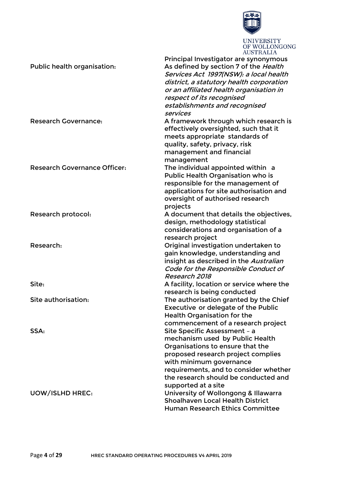

|                                     | Principal Investigator are synonymous      |
|-------------------------------------|--------------------------------------------|
| Public health organisation:         | As defined by section 7 of the Health      |
|                                     | Services Act 1997(NSW): a local health     |
|                                     | district, a statutory health corporation   |
|                                     | or an affiliated health organisation in    |
|                                     | respect of its recognised                  |
|                                     |                                            |
|                                     | establishments and recognised<br>services  |
| <b>Research Governance:</b>         | A framework through which research is      |
|                                     | effectively oversighted, such that it      |
|                                     | meets appropriate standards of             |
|                                     | quality, safety, privacy, risk             |
|                                     | management and financial                   |
|                                     | management                                 |
| <b>Research Governance Officer:</b> | The individual appointed within a          |
|                                     | Public Health Organisation who is          |
|                                     |                                            |
|                                     | responsible for the management of          |
|                                     | applications for site authorisation and    |
|                                     | oversight of authorised research           |
|                                     | projects                                   |
| Research protocol:                  | A document that details the objectives,    |
|                                     | design, methodology statistical            |
|                                     | considerations and organisation of a       |
|                                     | research project                           |
| Research:                           | Original investigation undertaken to       |
|                                     | gain knowledge, understanding and          |
|                                     | insight as described in the Australian     |
|                                     | Code for the Responsible Conduct of        |
|                                     | Research 2018                              |
| Site:                               | A facility, location or service where the  |
|                                     | research is being conducted                |
| Site authorisation:                 | The authorisation granted by the Chief     |
|                                     | <b>Executive or delegate of the Public</b> |
|                                     | <b>Health Organisation for the</b>         |
|                                     | commencement of a research project         |
| SSA:                                | Site Specific Assessment - a               |
|                                     | mechanism used by Public Health            |
|                                     | Organisations to ensure that the           |
|                                     | proposed research project complies         |
|                                     | with minimum governance                    |
|                                     | requirements, and to consider whether      |
|                                     | the research should be conducted and       |
|                                     | supported at a site                        |
| <b>UOW/ISLHD HREC:</b>              | University of Wollongong & Illawarra       |
|                                     | <b>Shoalhaven Local Health District</b>    |
|                                     |                                            |
|                                     | Human Research Ethics Committee            |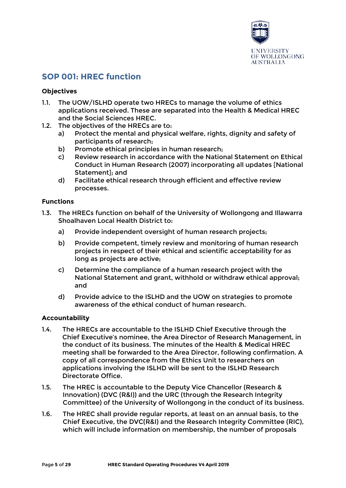

## **SOP 001: HREC function**

## **Objectives**

- 1.1. The UOW/ISLHD operate two HRECs to manage the volume of ethics applications received. These are separated into the Health & Medical HREC and the Social Sciences HREC.
- 1.2. The objectives of the HRECs are to:
	- a) Protect the mental and physical welfare, rights, dignity and safety of participants of research;
	- b) Promote ethical principles in human research;
	- c) Review research in accordance with the National Statement on Ethical Conduct in Human Research (2007) incorporating all updates [National Statement]; and
	- d) Facilitate ethical research through efficient and effective review processes.

## **Functions**

- 1.3. The HRECs function on behalf of the University of Wollongong and Illawarra Shoalhaven Local Health District to:
	- a) Provide independent oversight of human research projects;
	- b) Provide competent, timely review and monitoring of human research projects in respect of their ethical and scientific acceptability for as long as projects are active;
	- c) Determine the compliance of a human research project with the National Statement and grant, withhold or withdraw ethical approval; and
	- d) Provide advice to the ISLHD and the UOW on strategies to promote awareness of the ethical conduct of human research.

## **Accountability**

- 1.4. The HRECs are accountable to the ISLHD Chief Executive through the Chief Executive's nominee, the Area Director of Research Management, in the conduct of its business. The minutes of the Health & Medical HREC meeting shall be forwarded to the Area Director, following confirmation. A copy of all correspondence from the Ethics Unit to researchers on applications involving the ISLHD will be sent to the ISLHD Research Directorate Office.
- 1.5. The HREC is accountable to the Deputy Vice Chancellor (Research & Innovation) (DVC (R&I)) and the URC (through the Research Integrity Committee) of the University of Wollongong in the conduct of its business.
- 1.6. The HREC shall provide regular reports, at least on an annual basis, to the Chief Executive, the DVC(R&I) and the Research Integrity Committee (RIC), which will include information on membership, the number of proposals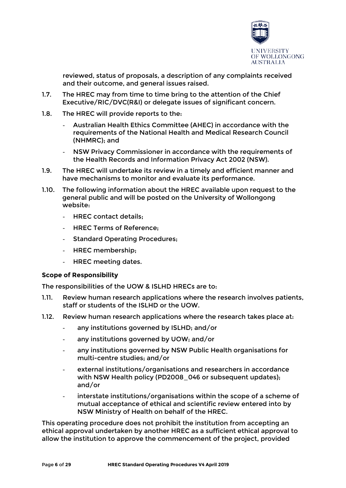

reviewed, status of proposals, a description of any complaints received and their outcome, and general issues raised.

- 1.7. The HREC may from time to time bring to the attention of the Chief Executive/RIC/DVC(R&I) or delegate issues of significant concern.
- 1.8. The HREC will provide reports to the:
	- Australian Health Ethics Committee (AHEC) in accordance with the requirements of the National Health and Medical Research Council (NHMRC); and
	- NSW Privacy Commissioner in accordance with the requirements of the Health Records and Information Privacy Act 2002 (NSW).
- 1.9. The HREC will undertake its review in a timely and efficient manner and have mechanisms to monitor and evaluate its performance.
- 1.10. The following information about the HREC available upon request to the general public and will be posted on the University of Wollongong website:
	- HREC contact details:
	- HREC Terms of Reference;
	- Standard Operating Procedures;
	- HREC membership;
	- HREC meeting dates.

#### **Scope of Responsibility**

The responsibilities of the UOW & ISLHD HRECs are to:

- 1.11. Review human research applications where the research involves patients, staff or students of the ISLHD or the UOW.
- 1.12. Review human research applications where the research takes place at:
	- any institutions governed by ISLHD; and/or
	- any institutions governed by UOW; and/or
	- any institutions governed by NSW Public Health organisations for multi-centre studies; and/or
	- external institutions/organisations and researchers in accordance with NSW Health policy (PD2008\_046 or subsequent updates); and/or
	- interstate institutions/organisations within the scope of a scheme of mutual acceptance of ethical and scientific review entered into by NSW Ministry of Health on behalf of the HREC.

This operating procedure does not prohibit the institution from accepting an ethical approval undertaken by another HREC as a sufficient ethical approval to allow the institution to approve the commencement of the project, provided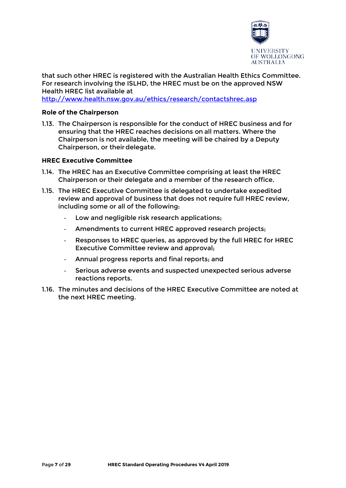

that such other HREC is registered with the Australian Health Ethics Committee. For research involving the ISLHD, the HREC must be on the approved NSW Health HREC list available at

<http://www.health.nsw.gov.au/ethics/research/contactshrec.asp>

## **Role of the Chairperson**

1.13. The Chairperson is responsible for the conduct of HREC business and for ensuring that the HREC reaches decisions on all matters. Where the Chairperson is not available, the meeting will be chaired by a Deputy Chairperson, or their delegate.

## **HREC Executive Committee**

- 1.14. The HREC has an Executive Committee comprising at least the HREC Chairperson or their delegate and a member of the research office.
- 1.15. The HREC Executive Committee is delegated to undertake expedited review and approval of business that does not require full HREC review, including some or all of the following:
	- Low and negligible risk research applications:
	- Amendments to current HREC approved research projects;
	- Responses to HREC queries, as approved by the full HREC for HREC Executive Committee review and approval;
	- Annual progress reports and final reports; and
	- Serious adverse events and suspected unexpected serious adverse reactions reports.
- 1.16. The minutes and decisions of the HREC Executive Committee are noted at the next HREC meeting.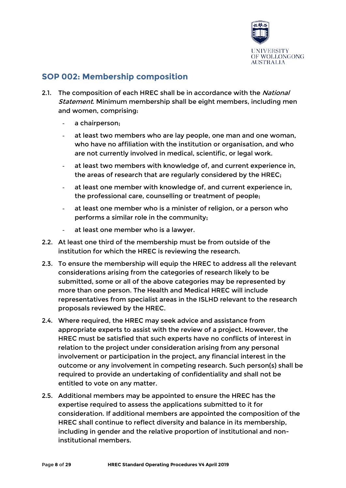

# **SOP 002: Membership composition**

- 2.1. The composition of each HREC shall be in accordance with the National Statement. Minimum membership shall be eight members, including men and women, comprising:
	- a chairperson;
	- at least two members who are lay people, one man and one woman, who have no affiliation with the institution or organisation, and who are not currently involved in medical, scientific, or legal work.
	- at least two members with knowledge of, and current experience in, the areas of research that are regularly considered by the HREC;
	- at least one member with knowledge of, and current experience in, the professional care, counselling or treatment of people;
	- at least one member who is a minister of religion, or a person who performs a similar role in the community;
	- at least one member who is a lawyer.
- 2.2. At least one third of the membership must be from outside of the institution for which the HREC is reviewing the research.
- 2.3. To ensure the membership will equip the HREC to address all the relevant considerations arising from the categories of research likely to be submitted, some or all of the above categories may be represented by more than one person. The Health and Medical HREC will include representatives from specialist areas in the ISLHD relevant to the research proposals reviewed by the HREC.
- 2.4. Where required, the HREC may seek advice and assistance from appropriate experts to assist with the review of a project. However, the HREC must be satisfied that such experts have no conflicts of interest in relation to the project under consideration arising from any personal involvement or participation in the project, any financial interest in the outcome or any involvement in competing research. Such person(s) shall be required to provide an undertaking of confidentiality and shall not be entitled to vote on any matter.
- 2.5. Additional members may be appointed to ensure the HREC has the expertise required to assess the applications submitted to it for consideration. If additional members are appointed the composition of the HREC shall continue to reflect diversity and balance in its membership, including in gender and the relative proportion of institutional and noninstitutional members.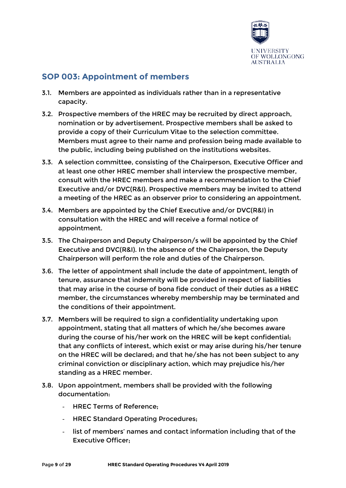

# **SOP 003: Appointment of members**

- 3.1. Members are appointed as individuals rather than in a representative capacity.
- 3.2. Prospective members of the HREC may be recruited by direct approach, nomination or by advertisement. Prospective members shall be asked to provide a copy of their Curriculum Vitae to the selection committee. Members must agree to their name and profession being made available to the public, including being published on the institutions websites.
- 3.3. A selection committee, consisting of the Chairperson, Executive Officer and at least one other HREC member shall interview the prospective member, consult with the HREC members and make a recommendation to the Chief Executive and/or DVC(R&I). Prospective members may be invited to attend a meeting of the HREC as an observer prior to considering an appointment.
- 3.4. Members are appointed by the Chief Executive and/or DVC(R&I) in consultation with the HREC and will receive a formal notice of appointment.
- 3.5. The Chairperson and Deputy Chairperson/s will be appointed by the Chief Executive and DVC(R&I). In the absence of the Chairperson, the Deputy Chairperson will perform the role and duties of the Chairperson.
- 3.6. The letter of appointment shall include the date of appointment, length of tenure, assurance that indemnity will be provided in respect of liabilities that may arise in the course of bona fide conduct of their duties as a HREC member, the circumstances whereby membership may be terminated and the conditions of their appointment.
- 3.7. Members will be required to sign a confidentiality undertaking upon appointment, stating that all matters of which he/she becomes aware during the course of his/her work on the HREC will be kept confidential; that any conflicts of interest, which exist or may arise during his/her tenure on the HREC will be declared; and that he/she has not been subject to any criminal conviction or disciplinary action, which may prejudice his/her standing as a HREC member.
- 3.8. Upon appointment, members shall be provided with the following documentation:
	- HREC Terms of Reference;
	- HREC Standard Operating Procedures;
	- list of members' names and contact information including that of the Executive Officer;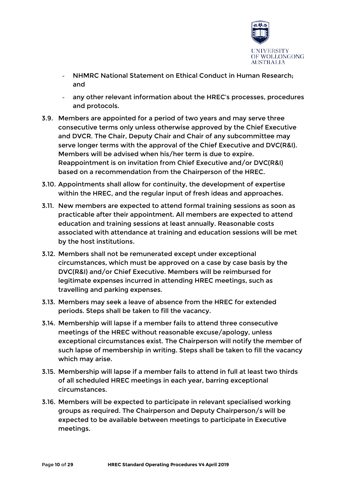

- NHMRC National Statement on Ethical Conduct in Human Research; and
- any other relevant information about the HREC's processes, procedures and protocols.
- 3.9. Members are appointed for a period of two years and may serve three consecutive terms only unless otherwise approved by the Chief Executive and DVCR. The Chair, Deputy Chair and Chair of any subcommittee may serve longer terms with the approval of the Chief Executive and DVC(R&I). Members will be advised when his/her term is due to expire. Reappointment is on invitation from Chief Executive and/or DVC(R&I) based on a recommendation from the Chairperson of the HREC.
- 3.10. Appointments shall allow for continuity, the development of expertise within the HREC, and the regular input of fresh ideas and approaches.
- 3.11. New members are expected to attend formal training sessions as soon as practicable after their appointment. All members are expected to attend education and training sessions at least annually. Reasonable costs associated with attendance at training and education sessions will be met by the host institutions.
- 3.12. Members shall not be remunerated except under exceptional circumstances, which must be approved on a case by case basis by the DVC(R&I) and/or Chief Executive. Members will be reimbursed for legitimate expenses incurred in attending HREC meetings, such as travelling and parking expenses.
- 3.13. Members may seek a leave of absence from the HREC for extended periods. Steps shall be taken to fill the vacancy.
- 3.14. Membership will lapse if a member fails to attend three consecutive meetings of the HREC without reasonable excuse/apology, unless exceptional circumstances exist. The Chairperson will notify the member of such lapse of membership in writing. Steps shall be taken to fill the vacancy which may arise.
- 3.15. Membership will lapse if a member fails to attend in full at least two thirds of all scheduled HREC meetings in each year, barring exceptional circumstances.
- 3.16. Members will be expected to participate in relevant specialised working groups as required. The Chairperson and Deputy Chairperson/s will be expected to be available between meetings to participate in Executive meetings.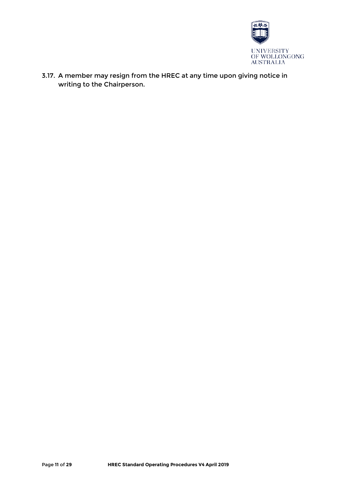

3.17. A member may resign from the HREC at any time upon giving notice in writing to the Chairperson.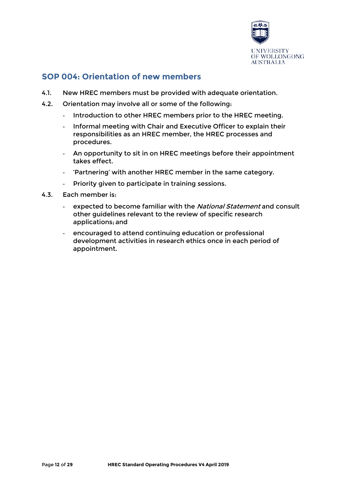

# **SOP 004: Orientation of new members**

- 4.1. New HREC members must be provided with adequate orientation.
- 4.2. Orientation may involve all or some of the following:
	- Introduction to other HREC members prior to the HREC meeting.
	- Informal meeting with Chair and Executive Officer to explain their responsibilities as an HREC member, the HREC processes and procedures.
	- An opportunity to sit in on HREC meetings before their appointment takes effect.
	- 'Partnering' with another HREC member in the same category.
	- Priority given to participate in training sessions.
- 4.3. Each member is:
	- expected to become familiar with the National Statement and consult other guidelines relevant to the review of specific research applications; and
	- encouraged to attend continuing education or professional development activities in research ethics once in each period of appointment.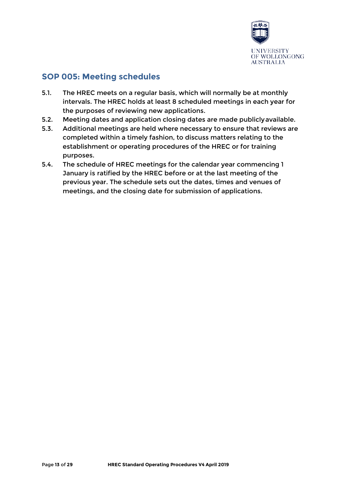

# **SOP 005: Meeting schedules**

- 5.1. The HREC meets on a regular basis, which will normally be at monthly intervals. The HREC holds at least 8 scheduled meetings in each year for the purposes of reviewing new applications.
- 5.2. Meeting dates and application closing dates are made publiclyavailable.
- 5.3. Additional meetings are held where necessary to ensure that reviews are completed within a timely fashion, to discuss matters relating to the establishment or operating procedures of the HREC or for training purposes.
- 5.4. The schedule of HREC meetings for the calendar year commencing 1 January is ratified by the HREC before or at the last meeting of the previous year. The schedule sets out the dates, times and venues of meetings, and the closing date for submission of applications.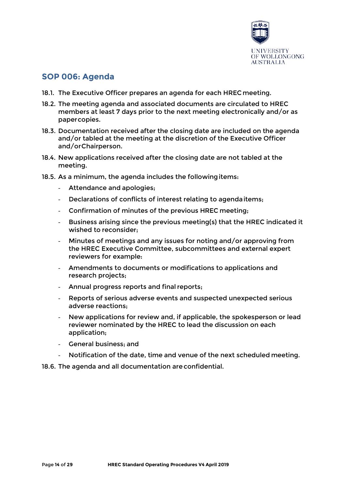

## **SOP 006: Agenda**

- 18.1. The Executive Officer prepares an agenda for each HREC meeting.
- 18.2. The meeting agenda and associated documents are circulated to HREC members at least 7 days prior to the next meeting electronically and/or as papercopies.
- 18.3. Documentation received after the closing date are included on the agenda and/or tabled at the meeting at the discretion of the Executive Officer and/orChairperson.
- 18.4. New applications received after the closing date are not tabled at the meeting.
- 18.5. As a minimum, the agenda includes the followingitems:
	- Attendance and apologies;
	- Declarations of conflicts of interest relating to agendaitems;
	- Confirmation of minutes of the previous HREC meeting;
	- Business arising since the previous meeting(s) that the HREC indicated it wished to reconsider;
	- Minutes of meetings and any issues for noting and/or approving from the HREC Executive Committee, subcommittees and external expert reviewers for example:
	- Amendments to documents or modifications to applications and research projects;
	- Annual progress reports and final reports;
	- Reports of serious adverse events and suspected unexpected serious adverse reactions;
	- New applications for review and, if applicable, the spokesperson or lead reviewer nominated by the HREC to lead the discussion on each application;
	- General business: and
	- Notification of the date, time and venue of the next scheduled meeting.

18.6. The agenda and all documentation areconfidential.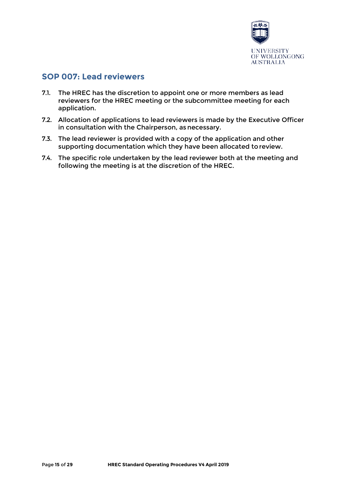

## **SOP 007: Lead reviewers**

- 7.1. The HREC has the discretion to appoint one or more members as lead reviewers for the HREC meeting or the subcommittee meeting for each application.
- 7.2. Allocation of applications to lead reviewers is made by the Executive Officer in consultation with the Chairperson, as necessary.
- 7.3. The lead reviewer is provided with a copy of the application and other supporting documentation which they have been allocated toreview.
- 7.4. The specific role undertaken by the lead reviewer both at the meeting and following the meeting is at the discretion of the HREC.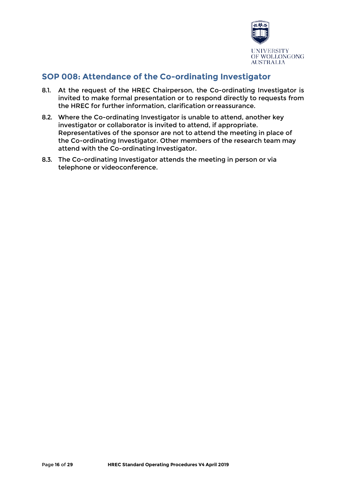

# **SOP 008: Attendance of the Co-ordinating Investigator**

- 8.1. At the request of the HREC Chairperson, the Co-ordinating Investigator is invited to make formal presentation or to respond directly to requests from the HREC for further information, clarification orreassurance.
- 8.2. Where the Co-ordinating Investigator is unable to attend, another key investigator or collaborator is invited to attend, if appropriate. Representatives of the sponsor are not to attend the meeting in place of the Co-ordinating Investigator. Other members of the research team may attend with the Co-ordinating Investigator.
- 8.3. The Co-ordinating Investigator attends the meeting in person or via telephone or videoconference.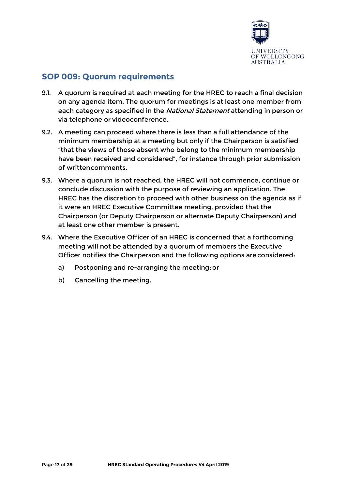

## **SOP 009: Quorum requirements**

- 9.1. A quorum is required at each meeting for the HREC to reach a final decision on any agenda item. The quorum for meetings is at least one member from each category as specified in the National Statement attending in person or via telephone or videoconference.
- 9.2. A meeting can proceed where there is less than a full attendance of the minimum membership at a meeting but only if the Chairperson is satisfied "that the views of those absent who belong to the minimum membership have been received and considered", for instance through prior submission of writtencomments.
- 9.3. Where a quorum is not reached, the HREC will not commence, continue or conclude discussion with the purpose of reviewing an application. The HREC has the discretion to proceed with other business on the agenda as if it were an HREC Executive Committee meeting, provided that the Chairperson (or Deputy Chairperson or alternate Deputy Chairperson) and at least one other member is present.
- 9.4. Where the Executive Officer of an HREC is concerned that a forthcoming meeting will not be attended by a quorum of members the Executive Officer notifies the Chairperson and the following options areconsidered:
	- a) Postponing and re-arranging the meeting;or
	- b) Cancelling the meeting.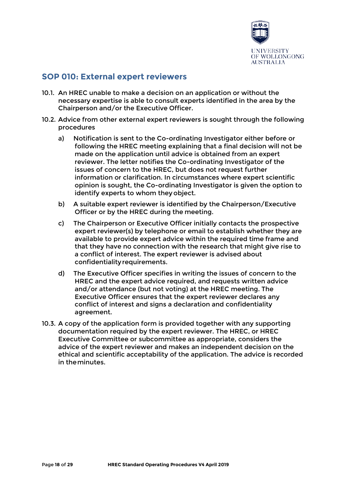

## **SOP 010: External expert reviewers**

- 10.1. An HREC unable to make a decision on an application or without the necessary expertise is able to consult experts identified in the area by the Chairperson and/or the Executive Officer.
- 10.2. Advice from other external expert reviewers is sought through the following procedures
	- a) Notification is sent to the Co-ordinating Investigator either before or following the HREC meeting explaining that a final decision will not be made on the application until advice is obtained from an expert reviewer. The letter notifies the Co-ordinating Investigator of the issues of concern to the HREC, but does not request further information or clarification. In circumstances where expert scientific opinion is sought, the Co-ordinating Investigator is given the option to identify experts to whom theyobject.
	- b) A suitable expert reviewer is identified by the Chairperson/Executive Officer or by the HREC during the meeting.
	- c) The Chairperson or Executive Officer initially contacts the prospective expert reviewer(s) by telephone or email to establish whether they are available to provide expert advice within the required time frame and that they have no connection with the research that might give rise to a conflict of interest. The expert reviewer is advised about confidentialityrequirements.
	- d) The Executive Officer specifies in writing the issues of concern to the HREC and the expert advice required, and requests written advice and/or attendance (but not voting) at the HREC meeting. The Executive Officer ensures that the expert reviewer declares any conflict of interest and signs a declaration and confidentiality agreement.
- 10.3. A copy of the application form is provided together with any supporting documentation required by the expert reviewer. The HREC, or HREC Executive Committee or subcommittee as appropriate, considers the advice of the expert reviewer and makes an independent decision on the ethical and scientific acceptability of the application. The advice is recorded in theminutes.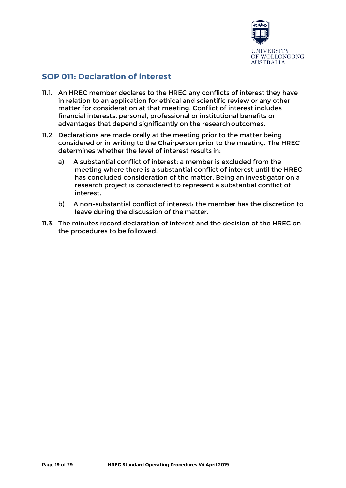

# **SOP 011: Declaration of interest**

- 11.1. An HREC member declares to the HREC any conflicts of interest they have in relation to an application for ethical and scientific review or any other matter for consideration at that meeting. Conflict of interest includes financial interests, personal, professional or institutional benefits or advantages that depend significantly on the research outcomes.
- 11.2. Declarations are made orally at the meeting prior to the matter being considered or in writing to the Chairperson prior to the meeting. The HREC determines whether the level of interest results in:
	- a) A substantial conflict of interest: a member is excluded from the meeting where there is a substantial conflict of interest until the HREC has concluded consideration of the matter. Being an investigator on a research project is considered to represent a substantial conflict of interest.
	- b) A non-substantial conflict of interest: the member has the discretion to leave during the discussion of the matter.
- 11.3. The minutes record declaration of interest and the decision of the HREC on the procedures to be followed.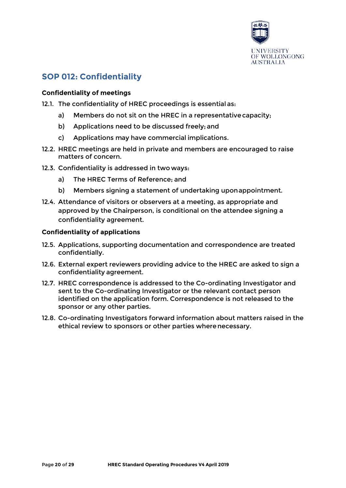

# **SOP 012: Confidentiality**

## **Confidentiality of meetings**

- 12.1. The confidentiality of HREC proceedings is essential as:
	- a) Members do not sit on the HREC in a representativecapacity;
	- b) Applications need to be discussed freely; and
	- c) Applications may have commercial implications.
- 12.2. HREC meetings are held in private and members are encouraged to raise matters of concern.
- 12.3. Confidentiality is addressed in two ways:
	- a) The HREC Terms of Reference; and
	- b) Members signing a statement of undertaking uponappointment.
- 12.4. Attendance of visitors or observers at a meeting, as appropriate and approved by the Chairperson, is conditional on the attendee signing a confidentiality agreement.

## **Confidentiality of applications**

- 12.5. Applications, supporting documentation and correspondence are treated confidentially.
- 12.6. External expert reviewers providing advice to the HREC are asked to sign a confidentiality agreement.
- 12.7. HREC correspondence is addressed to the Co-ordinating Investigator and sent to the Co-ordinating Investigator or the relevant contact person identified on the application form. Correspondence is not released to the sponsor or any other parties.
- 12.8. Co-ordinating Investigators forward information about matters raised in the ethical review to sponsors or other parties wherenecessary.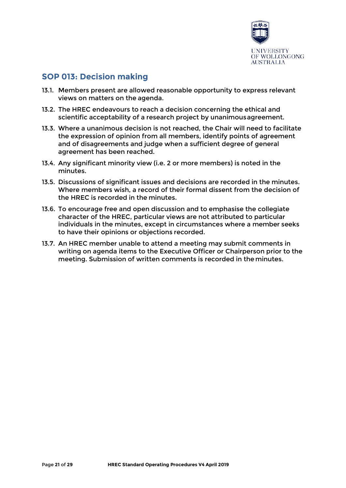

# **SOP 013: Decision making**

- 13.1. Members present are allowed reasonable opportunity to express relevant views on matters on the agenda.
- 13.2. The HREC endeavours to reach a decision concerning the ethical and scientific acceptability of a research project by unanimousagreement.
- 13.3. Where a unanimous decision is not reached, the Chair will need to facilitate the expression of opinion from all members, identify points of agreement and of disagreements and judge when a sufficient degree of general agreement has been reached.
- 13.4. Any significant minority view (i.e. 2 or more members) is noted in the minutes.
- 13.5. Discussions of significant issues and decisions are recorded in the minutes. Where members wish, a record of their formal dissent from the decision of the HREC is recorded in the minutes.
- 13.6. To encourage free and open discussion and to emphasise the collegiate character of the HREC, particular views are not attributed to particular individuals in the minutes, except in circumstances where a member seeks to have their opinions or objections recorded.
- 13.7. An HREC member unable to attend a meeting may submit comments in writing on agenda items to the Executive Officer or Chairperson prior to the meeting. Submission of written comments is recorded in theminutes.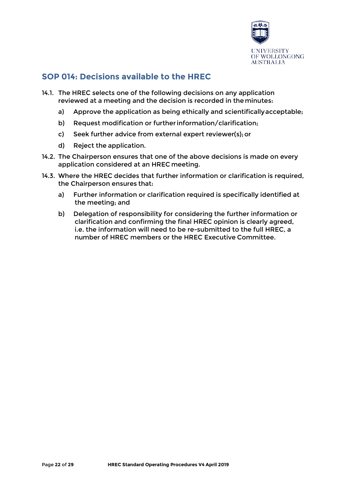

# **SOP 014: Decisions available to the HREC**

- 14.1. The HREC selects one of the following decisions on any application reviewed at a meeting and the decision is recorded in theminutes:
	- a) Approve the application as being ethically and scientificallyacceptable;
	- b) Request modification or further information/clarification;
	- c) Seek further advice from external expert reviewer(s);or
	- d) Reject the application.
- 14.2. The Chairperson ensures that one of the above decisions is made on every application considered at an HREC meeting.
- 14.3. Where the HREC decides that further information or clarification is required, the Chairperson ensures that:
	- a) Further information or clarification required is specifically identified at the meeting; and
	- b) Delegation of responsibility for considering the further information or clarification and confirming the final HREC opinion is clearly agreed, i.e. the information will need to be re-submitted to the full HREC, a number of HREC members or the HREC Executive Committee.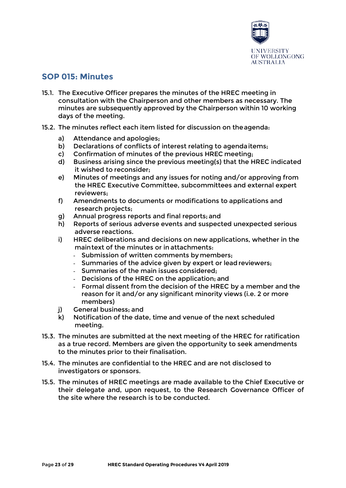

## **SOP 015: Minutes**

- 15.1. The Executive Officer prepares the minutes of the HREC meeting in consultation with the Chairperson and other members as necessary. The minutes are subsequently approved by the Chairperson within 10 working days of the meeting.
- 15.2. The minutes reflect each item listed for discussion on theagenda:
	- a) Attendance and apologies;
	- b) Declarations of conflicts of interest relating to agendaitems;
	- c) Confirmation of minutes of the previous HREC meeting;
	- d) Business arising since the previous meeting(s) that the HREC indicated it wished to reconsider;
	- e) Minutes of meetings and any issues for noting and/or approving from the HREC Executive Committee, subcommittees and external expert reviewers;
	- f) Amendments to documents or modifications to applications and research projects;
	- g) Annual progress reports and final reports; and
	- h) Reports of serious adverse events and suspected unexpected serious adverse reactions.
	- i) HREC deliberations and decisions on new applications, whether in the maintext of the minutes or in attachments:
		- Submission of written comments by members;
		- Summaries of the advice given by expert or lead reviewers;
		- Summaries of the main issues considered;
		- Decisions of the HREC on the application; and
		- Formal dissent from the decision of the HREC by a member and the reason for it and/or any significant minority views (i.e. 2 or more members)
	- j) General business; and
	- k) Notification of the date, time and venue of the next scheduled meeting.
- 15.3. The minutes are submitted at the next meeting of the HREC for ratification as a true record. Members are given the opportunity to seek amendments to the minutes prior to their finalisation.
- 15.4. The minutes are confidential to the HREC and are not disclosed to investigators or sponsors.
- 15.5. The minutes of HREC meetings are made available to the Chief Executive or their delegate and, upon request, to the Research Governance Officer of the site where the research is to be conducted.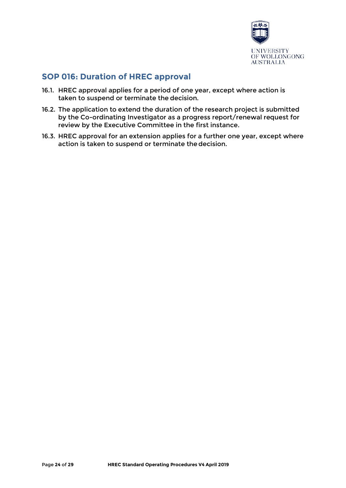

# **SOP 016: Duration of HREC approval**

- 16.1. HREC approval applies for a period of one year, except where action is taken to suspend or terminate the decision.
- 16.2. The application to extend the duration of the research project is submitted by the Co-ordinating Investigator as a progress report/renewal request for review by the Executive Committee in the first instance.
- 16.3. HREC approval for an extension applies for a further one year, except where action is taken to suspend or terminate the decision.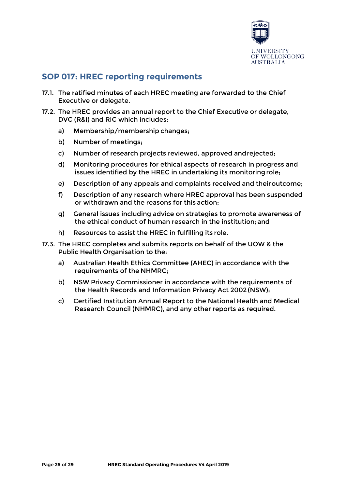

# **SOP 017: HREC reporting requirements**

- 17.1. The ratified minutes of each HREC meeting are forwarded to the Chief Executive or delegate.
- 17.2. The HREC provides an annual report to the Chief Executive or delegate, DVC (R&I) and RIC which includes:
	- a) Membership/membership changes;
	- b) Number of meetings;
	- c) Number of research projects reviewed, approved andrejected;
	- d) Monitoring procedures for ethical aspects of research in progress and issues identified by the HREC in undertaking its monitoringrole;
	- e) Description of any appeals and complaints received and theiroutcome;
	- f) Description of any research where HREC approval has been suspended or withdrawn and the reasons for this action;
	- g) General issues including advice on strategies to promote awareness of the ethical conduct of human research in the institution; and
	- h) Resources to assist the HREC in fulfilling its role.
- 17.3. The HREC completes and submits reports on behalf of the UOW & the Public Health Organisation to the:
	- a) Australian Health Ethics Committee (AHEC) in accordance with the requirements of the NHMRC;
	- b) NSW Privacy Commissioner in accordance with the requirements of the Health Records and Information Privacy Act 2002 (NSW);
	- c) Certified Institution Annual Report to the National Health and Medical Research Council (NHMRC), and any other reports as required.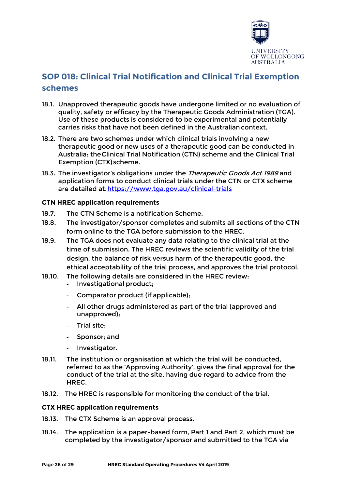

# **SOP 018: Clinical Trial Notification and Clinical Trial Exemption schemes**

- 18.1. Unapproved therapeutic goods have undergone limited or no evaluation of quality, safety or efficacy by the Therapeutic Goods Administration (TGA). Use of these products is considered to be experimental and potentially carries risks that have not been defined in the Australiancontext.
- 18.2. There are two schemes under which clinical trials involving a new therapeutic good or new uses of a therapeutic good can be conducted in Australia: theClinical Trial Notification (CTN) scheme and the Clinical Trial Exemption (CTX) scheme.
- 18.3. The investigator's obligations under the Therapeutic Goods Act 1989 and application forms to conduct clinical trials under the CTN or CTX scheme are detailed at[:https://www.tga.gov.au/clinical-trials](https://www.tga.gov.au/clinical-trials)

## **CTN HREC application requirements**

- 18.7. The CTN Scheme is a notification Scheme.
- 18.8. The investigator/sponsor completes and submits all sections of the CTN form online to the TGA before submission to the HREC.
- 18.9. The TGA does not evaluate any data relating to the clinical trial at the time of submission. The HREC reviews the scientific validity of the trial design, the balance of risk versus harm of the therapeutic good, the ethical acceptability of the trial process, and approves the trial protocol.
- 18.10. The following details are considered in the HREC review:
	- Investigational product;
	- Comparator product (if applicable);
	- All other drugs administered as part of the trial (approved and unapproved);
	- Trial site;
	- Sponsor: and
	- Investigator.
- 18.11. The institution or organisation at which the trial will be conducted, referred to as the 'Approving Authority', gives the final approval for the conduct of the trial at the site, having due regard to advice from the HREC.
- 18.12. The HREC is responsible for monitoring the conduct of the trial.

## **CTX HREC application requirements**

- 18.13. The CTX Scheme is an approval process.
- 18.14. The application is a paper-based form, Part 1 and Part 2, which must be completed by the investigator/sponsor and submitted to the TGA via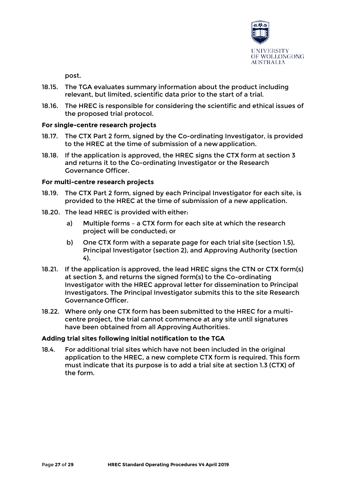

post.

- 18.15. The TGA evaluates summary information about the product including relevant, but limited, scientific data prior to the start of a trial.
- 18.16. The HREC is responsible for considering the scientific and ethical issues of the proposed trial protocol.

## **For single-centre research projects**

- 18.17. The CTX Part 2 form, signed by the Co-ordinating Investigator, is provided to the HREC at the time of submission of a new application.
- 18.18. If the application is approved, the HREC signs the CTX form at section 3 and returns it to the Co-ordinating Investigator or the Research Governance Officer.

## **For multi-centre research projects**

- 18.19. The CTX Part 2 form, signed by each Principal Investigator for each site, is provided to the HREC at the time of submission of a new application.
- 18.20. The lead HREC is provided with either:
	- a) Multiple forms a CTX form for each site at which the research project will be conducted; or
	- b) One CTX form with a separate page for each trial site (section 1.5), Principal Investigator (section 2), and Approving Authority (section 4).
- 18.21. If the application is approved, the lead HREC signs the CTN or CTX form(s) at section 3, and returns the signed form(s) to the Co-ordinating Investigator with the HREC approval letter for dissemination to Principal Investigators. The Principal Investigator submits this to the site Research Governance Officer.
- 18.22. Where only one CTX form has been submitted to the HREC for a multicentre project, the trial cannot commence at any site until signatures have been obtained from all Approving Authorities.

## **Adding trial sites following initial notification to the TGA**

18.4. For additional trial sites which have not been included in the original application to the HREC, a new complete CTX form is required. This form must indicate that its purpose is to add a trial site at section 1.3 (CTX) of the form.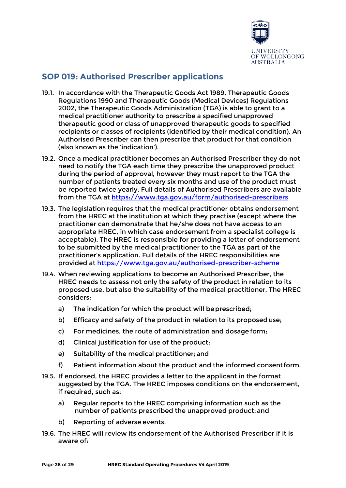

# **SOP 019: Authorised Prescriber applications**

- 19.1. In accordance with the Therapeutic Goods Act 1989, Therapeutic Goods Regulations 1990 and Therapeutic Goods (Medical Devices) Regulations 2002, the Therapeutic Goods Administration (TGA) is able to grant to a medical practitioner authority to prescribe a specified unapproved therapeutic good or class of unapproved therapeutic goods to specified recipients or classes of recipients (identified by their medical condition). An Authorised Prescriber can then prescribe that product for that condition (also known as the 'indication').
- 19.2. Once a medical practitioner becomes an Authorised Prescriber they do not need to notify the TGA each time they prescribe the unapproved product during the period of approval, however they must report to the TGA the number of patients treated every six months and use of the product must be reported twice yearly. Full details of Authorised Prescribers are available from the TGA at<https://www.tga.gov.au/form/authorised-prescribers>
- 19.3. The legislation requires that the medical practitioner obtains endorsement from the HREC at the institution at which they practise (except where the practitioner can demonstrate that he/she does not have access to an appropriate HREC, in which case endorsement from a specialist college is acceptable). The HREC is responsible for providing a letter of endorsement to be submitted by the medical practitioner to the TGA as part of the practitioner's application. Full details of the HREC responsibilities are provided at <https://www.tga.gov.au/authorised-prescriber-scheme>
- 19.4. When reviewing applications to become an Authorised Prescriber, the HREC needs to assess not only the safety of the product in relation to its proposed use, but also the suitability of the medical practitioner. The HREC considers:
	- a) The indication for which the product will be prescribed;
	- b) Efficacy and safety of the product in relation to its proposed use;
	- c) For medicines, the route of administration and dosage form;
	- d) Clinical justification for use of the product;
	- e) Suitability of the medical practitioner; and
	- f) Patient information about the product and the informed consentform.
- 19.5. If endorsed, the HREC provides a letter to the applicant in the format suggested by the TGA. The HREC imposes conditions on the endorsement, if required, such as:
	- a) Regular reports to the HREC comprising information such as the number of patients prescribed the unapproved product;and
	- b) Reporting of adverse events.
- 19.6. The HREC will review its endorsement of the Authorised Prescriber if it is aware of: